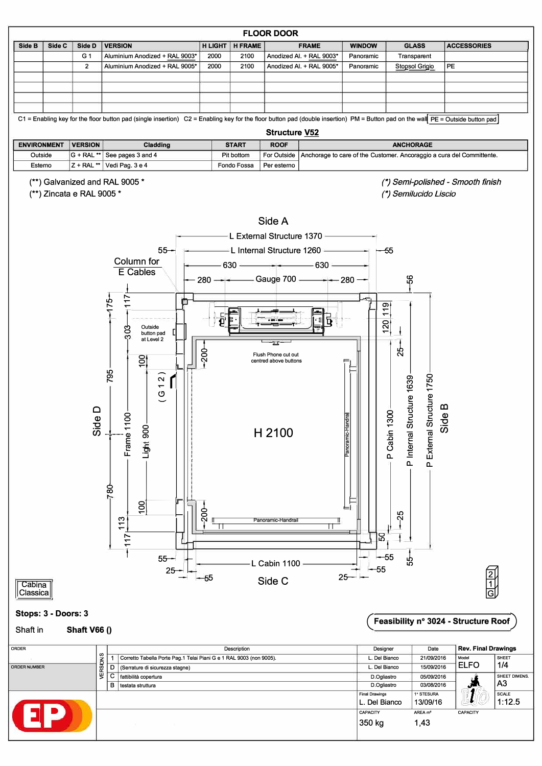